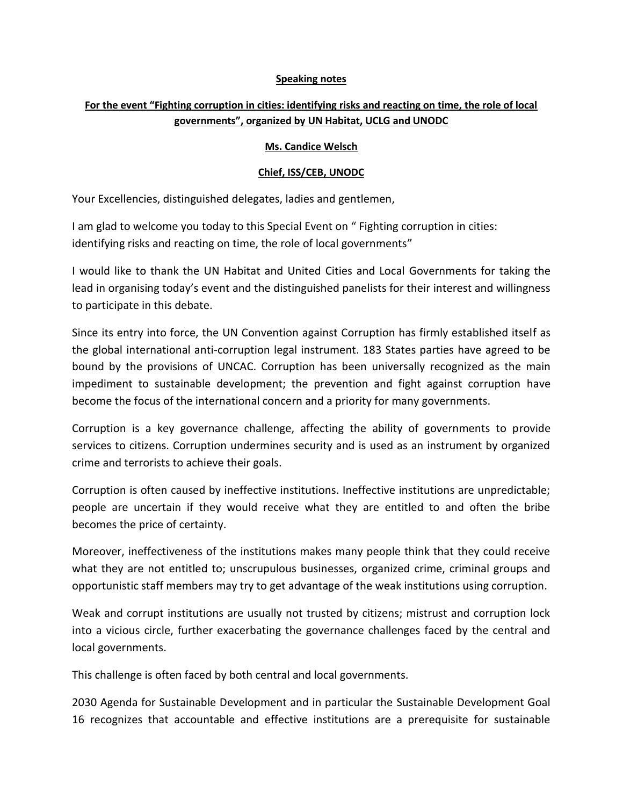## **Speaking notes**

## **For the event "Fighting corruption in cities: identifying risks and reacting on time, the role of local governments", organized by UN Habitat, UCLG and UNODC**

## **Ms. Candice Welsch**

## **Chief, ISS/CEB, UNODC**

Your Excellencies, distinguished delegates, ladies and gentlemen,

I am glad to welcome you today to this Special Event on " Fighting corruption in cities: identifying risks and reacting on time, the role of local governments"

I would like to thank the UN Habitat and United Cities and Local Governments for taking the lead in organising today's event and the distinguished panelists for their interest and willingness to participate in this debate.

Since its entry into force, the UN Convention against Corruption has firmly established itself as the global international anti-corruption legal instrument. 183 States parties have agreed to be bound by the provisions of UNCAC. Corruption has been universally recognized as the main impediment to sustainable development; the prevention and fight against corruption have become the focus of the international concern and a priority for many governments.

Corruption is a key governance challenge, affecting the ability of governments to provide services to citizens. Corruption undermines security and is used as an instrument by organized crime and terrorists to achieve their goals.

Corruption is often caused by ineffective institutions. Ineffective institutions are unpredictable; people are uncertain if they would receive what they are entitled to and often the bribe becomes the price of certainty.

Moreover, ineffectiveness of the institutions makes many people think that they could receive what they are not entitled to; unscrupulous businesses, organized crime, criminal groups and opportunistic staff members may try to get advantage of the weak institutions using corruption.

Weak and corrupt institutions are usually not trusted by citizens; mistrust and corruption lock into a vicious circle, further exacerbating the governance challenges faced by the central and local governments.

This challenge is often faced by both central and local governments.

2030 Agenda for Sustainable Development and in particular the Sustainable Development Goal 16 recognizes that accountable and effective institutions are a prerequisite for sustainable